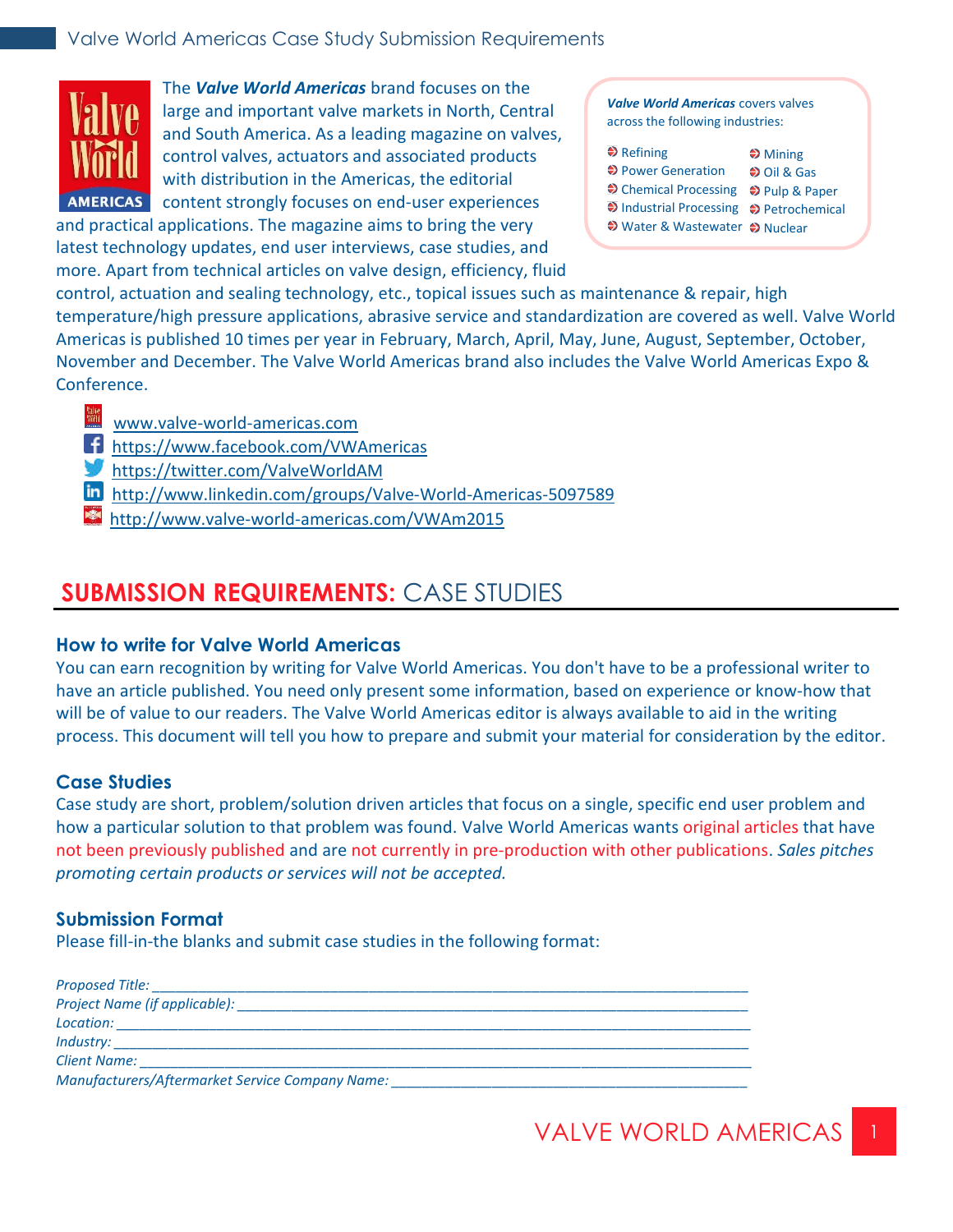

The *Valve World Americas* brand focuses on the large and important valve markets in North, Central and South America. As a leading magazine on valves, control valves, actuators and associated products with distribution in the Americas, the editorial AMERICAS content strongly focuses on end-user experiences

and practical applications. The magazine aims to bring the very latest technology updates, end user interviews, case studies, and more. Apart from technical articles on valve design, efficiency, fluid

*Valve World Americas* covers valves across the following industries:

| $\triangle$ Refining                    | $\clubsuit$ Mining   |
|-----------------------------------------|----------------------|
| ♦ Power Generation                      | $\bigcirc$ Oil & Gas |
| → Chemical Processing → Pulp & Paper    |                      |
| → Industrial Processing → Petrochemical |                      |
| ♦ Water & Wastewater ♦ Nuclear          |                      |

control, actuation and sealing technology, etc., topical issues such as maintenance & repair, high temperature/high pressure applications, abrasive service and standardization are covered as well. Valve World Americas is published 10 times per year in February, March, April, May, June, August, September, October, November and December. The Valve World Americas brand also includes the Valve World Americas Expo & Conference.

- [www.valve-world-americas.com](http://www.pumpengineer.net/)
- [https://www.facebook.com/VWAmericas](https://www.facebook.com/engineer.pump)
- [https://twitter.com/ValveWorldAM](https://twitter.com/Pump_Engr)
- [http://www.linkedin.com/groups/Valve-World-Americas-5097589](http://www.linkedin.com/groups/Pump-Engineer-Group-4337439)
- http://www.valve-world-americas.com/VWAm2015

## **SUBMISSION REQUIREMENTS:** CASE STUDIES

#### **How to write for Valve World Americas**

You can earn recognition by writing for Valve World Americas. You don't have to be a professional writer to have an article published. You need only present some information, based on experience or know-how that will be of value to our readers. The Valve World Americas editor is always available to aid in the writing process. This document will tell you how to prepare and submit your material for consideration by the editor.

#### **Case Studies**

Case study are short, problem/solution driven articles that focus on a single, specific end user problem and how a particular solution to that problem was found. Valve World Americas wants original articles that have not been previously published and are not currently in pre-production with other publications. *Sales pitches promoting certain products or services will not be accepted.*

#### **Submission Format**

Please fill-in-the blanks and submit case studies in the following format:

| Location:<br><u> 1980 - Johann Barnett, fransk politiker (d. 1980)</u> |  |
|------------------------------------------------------------------------|--|
| $Industry:$ ______________________                                     |  |
| Client Name: <u>__________</u>                                         |  |
| Manufacturers/Aftermarket Service Company Name:                        |  |